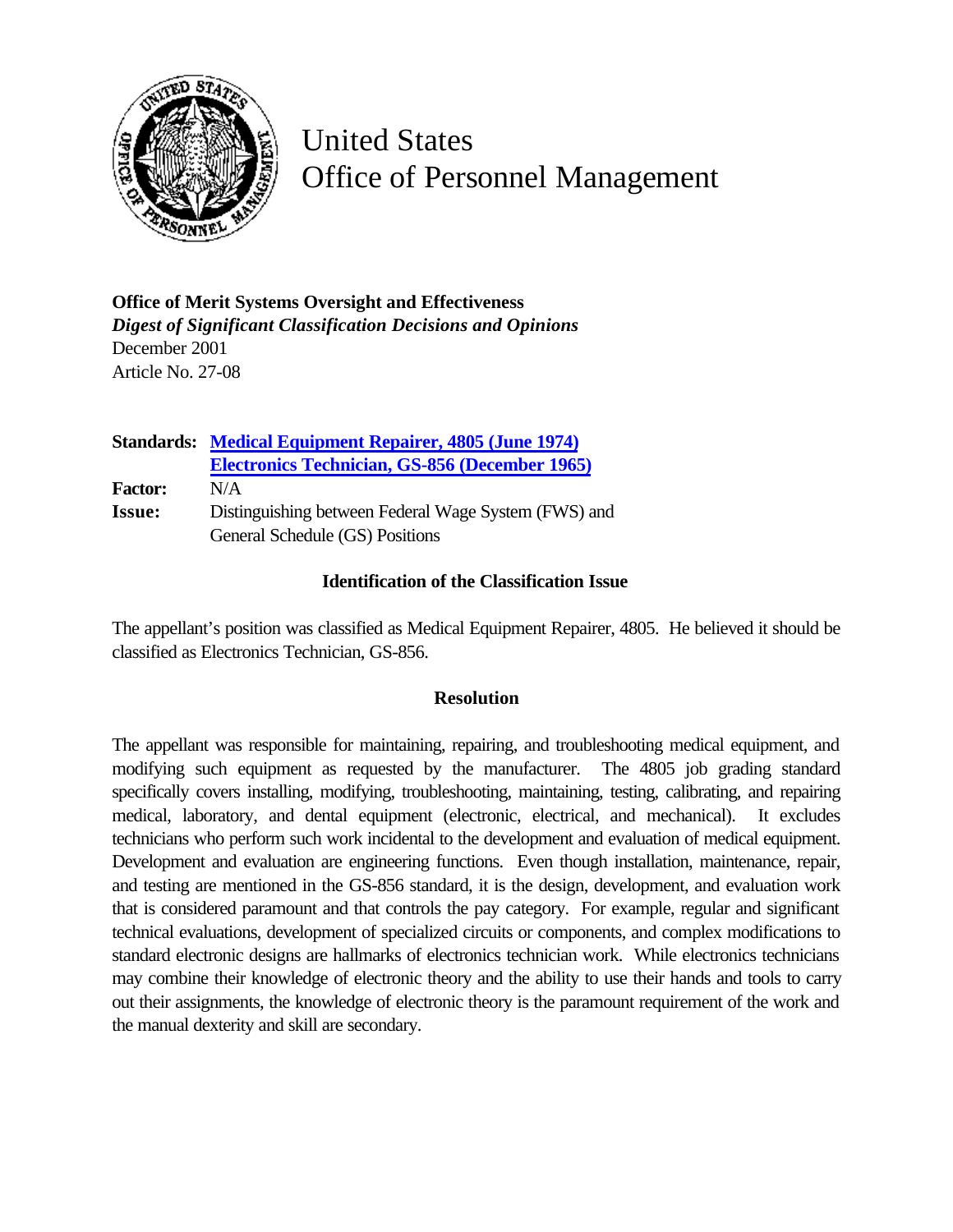

United States Office of Personnel Management

**Office of Merit Systems Oversight and Effectiveness** *Digest of Significant Classification Decisions and Opinions* December 2001 Article No. 27-08

|                | <b>Standards: Medical Equipment Repairer, 4805 (June 1974)</b> |
|----------------|----------------------------------------------------------------|
|                | Electronics Technician, GS-856 (December 1965)                 |
| <b>Factor:</b> | N/A                                                            |
| <b>Issue:</b>  | Distinguishing between Federal Wage System (FWS) and           |
|                | General Schedule (GS) Positions                                |

## **Identification of the Classification Issue**

The appellant's position was classified as Medical Equipment Repairer, 4805. He believed it should be classified as Electronics Technician, GS-856.

## **Resolution**

The appellant was responsible for maintaining, repairing, and troubleshooting medical equipment, and modifying such equipment as requested by the manufacturer. The 4805 job grading standard specifically covers installing, modifying, troubleshooting, maintaining, testing, calibrating, and repairing medical, laboratory, and dental equipment (electronic, electrical, and mechanical). It excludes technicians who perform such work incidental to the development and evaluation of medical equipment. Development and evaluation are engineering functions. Even though installation, maintenance, repair, and testing are mentioned in the GS-856 standard, it is the design, development, and evaluation work that is considered paramount and that controls the pay category. For example, regular and significant technical evaluations, development of specialized circuits or components, and complex modifications to standard electronic designs are hallmarks of electronics technician work. While electronics technicians may combine their knowledge of electronic theory and the ability to use their hands and tools to carry out their assignments, the knowledge of electronic theory is the paramount requirement of the work and the manual dexterity and skill are secondary.